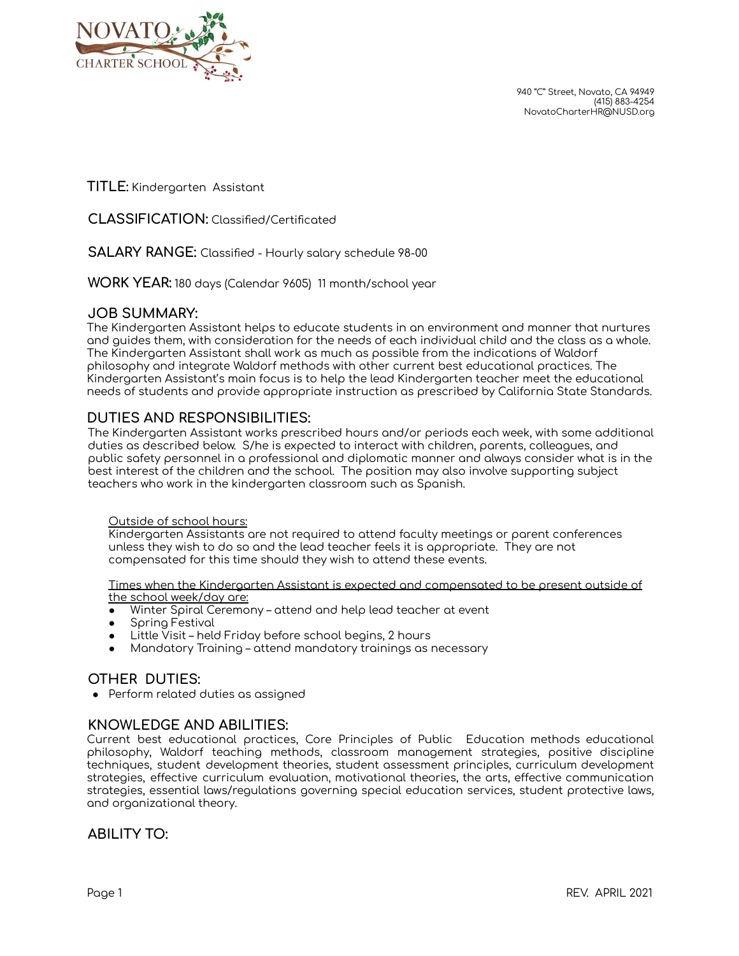

940 "C" Street, Novato, CA 94949 (415) 883-4254 NovatoCharterHR@NUSD.org

**TITLE:** Kindergarten Assistant

**CLASSIFICATION:** Classified/Certificated

**SALARY RANGE:** Classified - Hourly salary schedule 98-00

**WORK YEAR:** 180 days (Calendar 9605) 11 month/school year

### **JOB SUMMARY:**

The Kindergarten Assistant helps to educate students in an environment and manner that nurtures and guides them, with consideration for the needs of each individual child and the class as a whole. The Kindergarten Assistant shall work as much as possible from the indications of Waldorf philosophy and integrate Waldorf methods with other current best educational practices. The Kindergarten Assistant's main focus is to help the lead Kindergarten teacher meet the educational needs of students and provide appropriate instruction as prescribed by California State Standards.

## **DUTIES AND RESPONSIBILITIES:**

The Kindergarten Assistant works prescribed hours and/or periods each week, with some additional duties as described below. S/he is expected to interact with children, parents, colleagues, and public safety personnel in a professional and diplomatic manner and always consider what is in the best interest of the children and the school. The position may also involve supporting subject teachers who work in the kindergarten classroom such as Spanish.

#### Outside of school hours:

Kindergarten Assistants are not required to attend faculty meetings or parent conferences unless they wish to do so and the lead teacher feels it is appropriate. They are not compensated for this time should they wish to attend these events.

Times when the Kindergarten Assistant is expected and compensated to be present outside of the school week/day are:

- Winter Spiral Ceremony attend and help lead teacher at event
- Spring Festival
- Little Visit held Friday before school begins, 2 hours
- Mandatory Training attend mandatory trainings as necessary

### **OTHER DUTIES:**

● Perform related duties as assigned

### **KNOWLEDGE AND ABILITIES:**

Current best educational practices, Core Principles of Public Education methods educational philosophy, Waldorf teaching methods, classroom management strategies, positive discipline techniques, student development theories, student assessment principles, curriculum development strategies, effective curriculum evaluation, motivational theories, the arts, effective communication strategies, essential laws/regulations governing special education services, student protective laws, and organizational theory.

**ABILITY TO:**